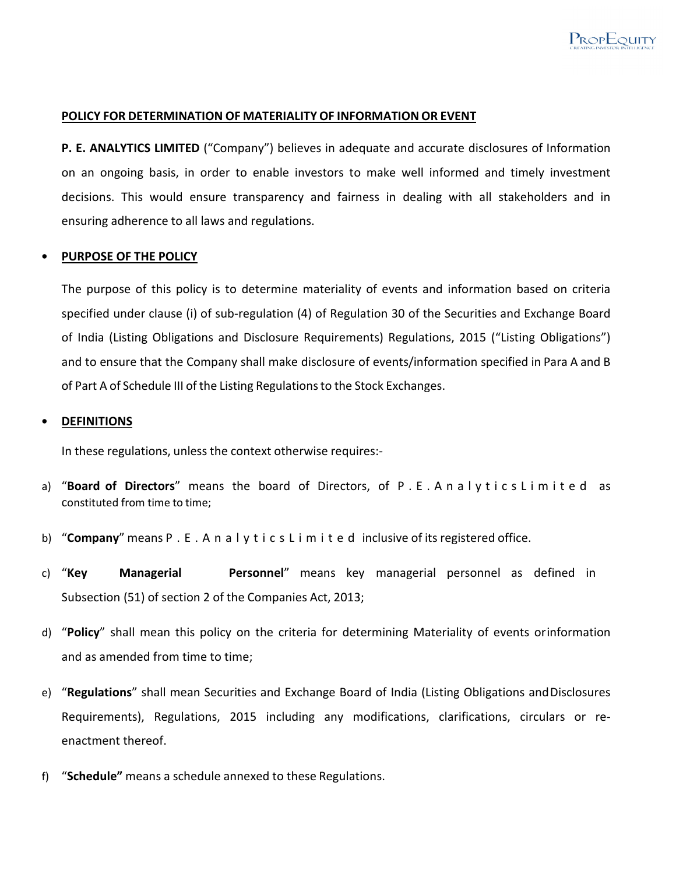### **POLICY FOR DETERMINATION OF MATERIALITY OF INFORMATION OR EVENT**

**P. E. ANALYTICS LIMITED** ("Company") believes in adequate and accurate disclosures of Information on an ongoing basis, in order to enable investors to make well informed and timely investment decisions. This would ensure transparency and fairness in dealing with all stakeholders and in ensuring adherence to all laws and regulations.

### • **PURPOSE OF THE POLICY**

The purpose of this policy is to determine materiality of events and information based on criteria specified under clause (i) of sub-regulation (4) of Regulation 30 of the Securities and Exchange Board of India (Listing Obligations and Disclosure Requirements) Regulations, 2015 ("Listing Obligations") and to ensure that the Company shall make disclosure of events/information specified in Para A and B of Part A of Schedule III of the Listing Regulations to the Stock Exchanges.

#### • **DEFINITIONS**

In these regulations, unless the context otherwise requires:-

- a) "**Board of Directors**" means the board of Directors, of P . E . A n a l y t i c s L i m i t e d as constituted from time to time;
- b) "**Company**" means P . E . A n a l y t i c s L i m i t e d inclusive of its registered office.
- c) "**Key Managerial Personnel**" means key managerial personnel as defined in Subsection (51) of section 2 of the Companies Act, 2013;
- d) "**Policy**" shall mean this policy on the criteria for determining Materiality of events or information and as amended from time to time;
- e) "**Regulations**" shall mean Securities and Exchange Board of India (Listing Obligations and Disclosures Requirements), Regulations, 2015 including any modifications, clarifications, circulars or reenactment thereof.
- f) "**Schedule"** means a schedule annexed to these Regulations.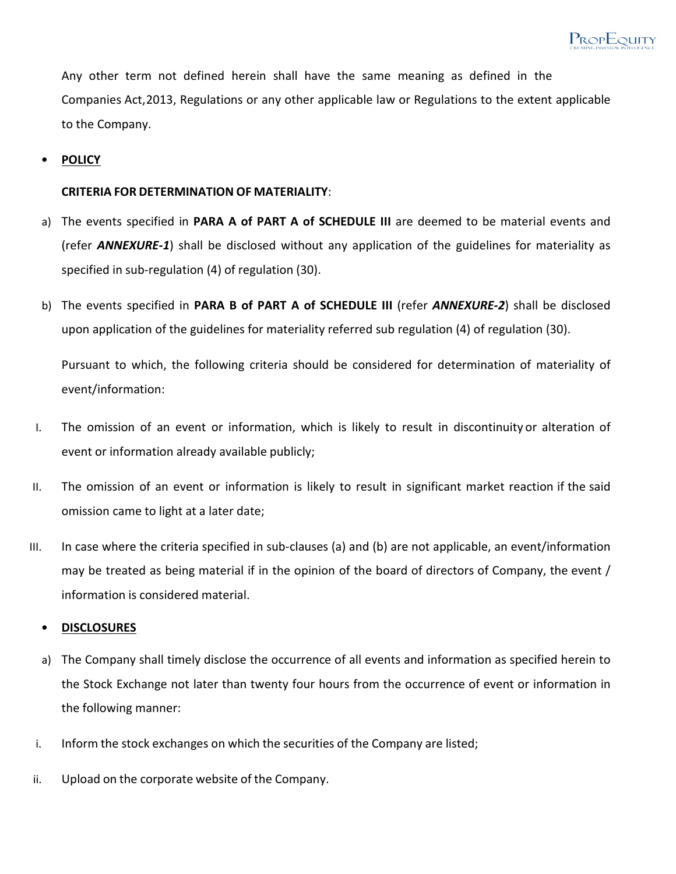

Any other term not defined herein shall have the same meaning as defined in the Companies Act, 2013, Regulations or any other applicable law or Regulations to the extent applicable to the Company.

### • **POLICY**

### **CRITERIA FOR DETERMINATION OF MATERIALITY**:

- a) The events specified in **PARA A of PART A of SCHEDULE III** are deemed to be material events and (refer *ANNEXURE-1*) shall be disclosed without any application of the guidelines for materiality as specified in sub-regulation (4) of regulation (30).
- b) The events specified in **PARA B of PART A of SCHEDULE III** (refer *ANNEXURE-2*) shall be disclosed upon application of the guidelines for materiality referred sub regulation (4) of regulation (30).

Pursuant to which, the following criteria should be considered for determination of materiality of event/information:

- I. The omission of an event or information, which is likely to result in discontinuity or alteration of event or information already available publicly;
- II. The omission of an event or information is likely to result in significant market reaction if the said omission came to light at a later date;
- III. In case where the criteria specified in sub-clauses (a) and (b) are not applicable, an event/information may be treated as being material if in the opinion of the board of directors of Company, the event / information is considered material.

### • **DISCLOSURES**

- a) The Company shall timely disclose the occurrence of all events and information as specified herein to the Stock Exchange not later than twenty four hours from the occurrence of event or information in the following manner:
- i. Inform the stock exchanges on which the securities of the Company are listed;
- ii. Upload on the corporate website of the Company.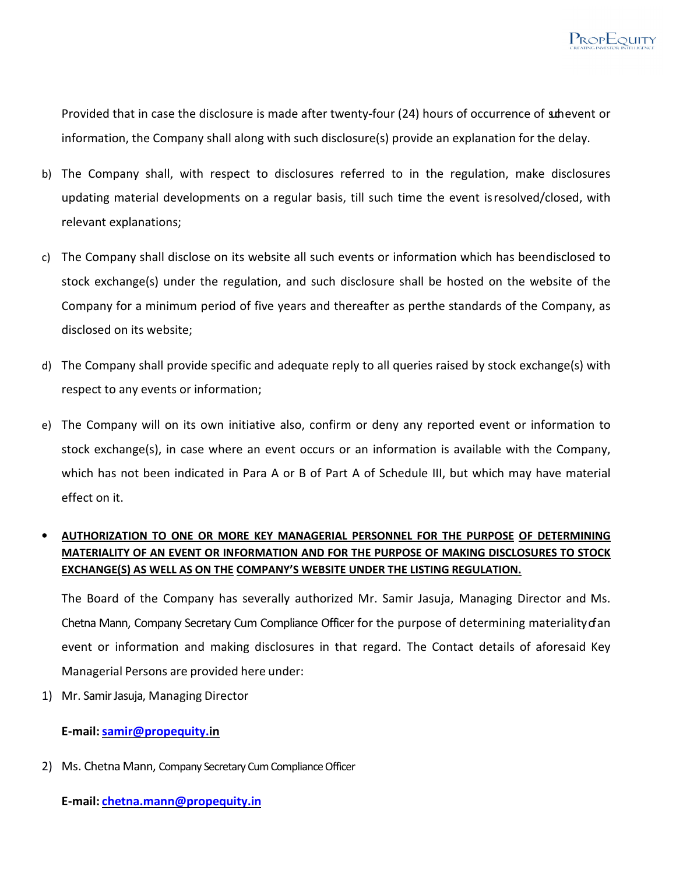

Provided that in case the disclosure is made after twenty-four (24) hours of occurrence of such event or information, the Company shall along with such disclosure(s) provide an explanation for the delay.

- b) The Company shall, with respect to disclosures referred to in the regulation, make disclosures updating material developments on a regular basis, till such time the event is resolved/closed, with relevant explanations;
- c) The Company shall disclose on its website all such events or information which has been disclosed to stock exchange(s) under the regulation, and such disclosure shall be hosted on the website of the Company for a minimum period of five years and thereafter as per the standards of the Company, as disclosed on its website;
- d) The Company shall provide specific and adequate reply to all queries raised by stock exchange(s) with respect to any events or information;
- e) The Company will on its own initiative also, confirm or deny any reported event or information to stock exchange(s), in case where an event occurs or an information is available with the Company, which has not been indicated in Para A or B of Part A of Schedule III, but which may have material effect on it.

# • **AUTHORIZATION TO ONE OR MORE KEY MANAGERIAL PERSONNEL FOR THE PURPOSE OF DETERMINING MATERIALITY OF AN EVENT OR INFORMATION AND FOR THE PURPOSE OF MAKING DISCLOSURES TO STOCK EXCHANGE(S) AS WELL AS ON THE COMPANY'S WEBSITE UNDER THE LISTING REGULATION.**

The Board of the Company has severally authorized Mr. Samir Jasuja, Managing Director and Ms. Chetna Mann, Company Secretary Cum Compliance Officer for the purpose of determining materiality of an event or information and making disclosures in that regard. The Contact details of aforesaid Key Managerial Persons are provided here under:

1) Mr. Samir Jasuja, Managing Director

## **E-mail: samir@propequity.in**

2) Ms. Chetna Mann, Company Secretary Cum Compliance Officer

**E-mail: chetna.mann@propequity.in**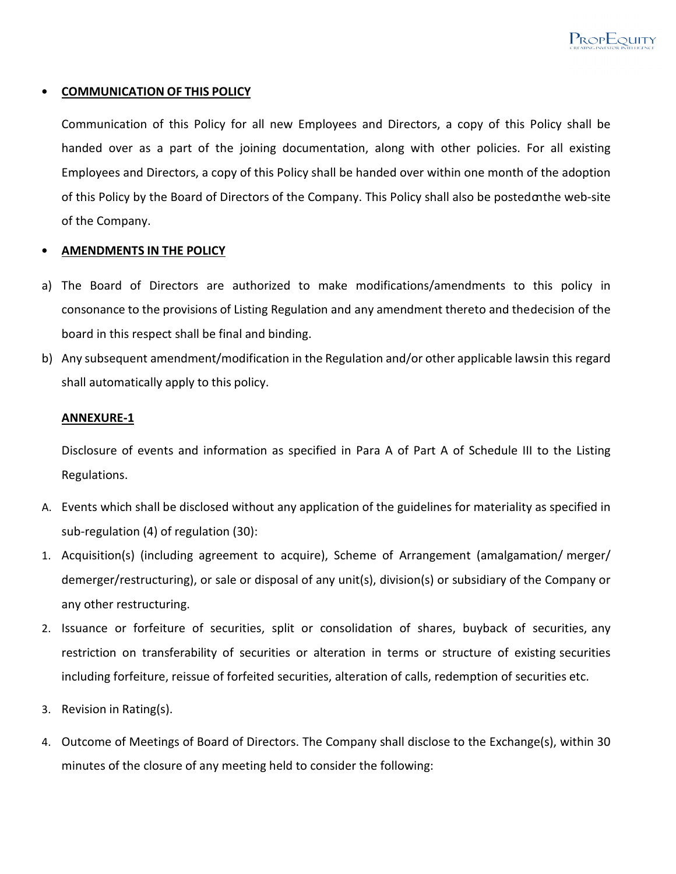

### • **COMMUNICATION OF THIS POLICY**

Communication of this Policy for all new Employees and Directors, a copy of this Policy shall be handed over as a part of the joining documentation, along with other policies. For all existing Employees and Directors, a copy of this Policy shall be handed over within one month of the adoption of this Policy by the Board of Directors of the Company. This Policy shall also be posted on the web-site of the Company.

### • **AMENDMENTS IN THE POLICY**

- a) The Board of Directors are authorized to make modifications/amendments to this policy in consonance to the provisions of Listing Regulation and any amendment thereto and the decision of the board in this respect shall be final and binding.
- b) Any subsequent amendment/modification in the Regulation and/or other applicable laws in this regard shall automatically apply to this policy.

### **ANNEXURE-1**

Disclosure of events and information as specified in Para A of Part A of Schedule III to the Listing Regulations.

- A. Events which shall be disclosed without any application of the guidelines for materiality as specified in sub-regulation (4) of regulation (30):
- 1. Acquisition(s) (including agreement to acquire), Scheme of Arrangement (amalgamation/ merger/ demerger/restructuring), or sale or disposal of any unit(s), division(s) or subsidiary of the Company or any other restructuring.
- 2. Issuance or forfeiture of securities, split or consolidation of shares, buyback of securities, any restriction on transferability of securities or alteration in terms or structure of existing securities including forfeiture, reissue of forfeited securities, alteration of calls, redemption of securities etc.
- 3. Revision in Rating(s).
- 4. Outcome of Meetings of Board of Directors. The Company shall disclose to the Exchange(s), within 30 minutes of the closure of any meeting held to consider the following: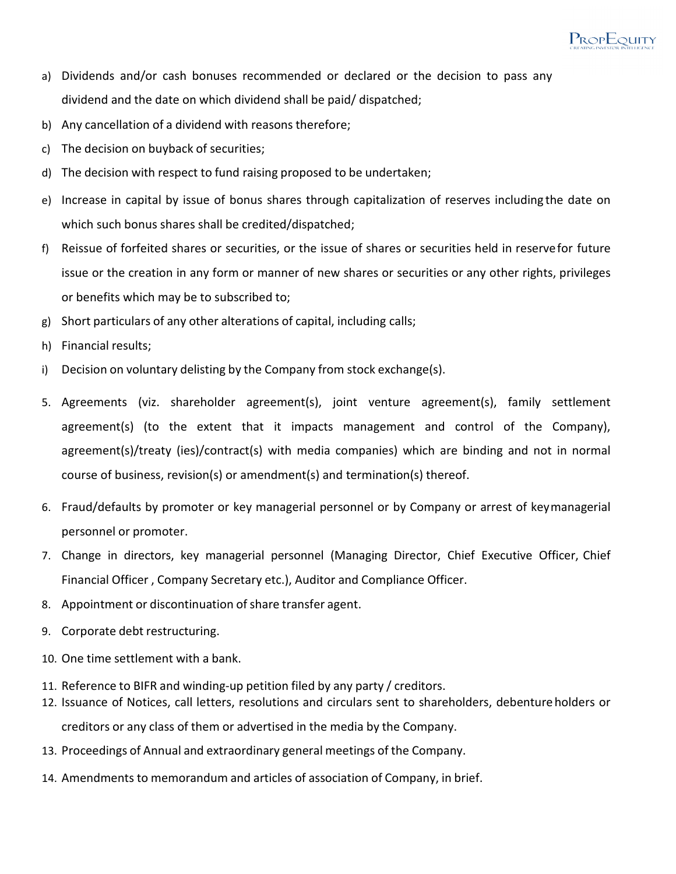- a) Dividends and/or cash bonuses recommended or declared or the decision to pass any dividend and the date on which dividend shall be paid/ dispatched;
- b) Any cancellation of a dividend with reasons therefore;
- c) The decision on buyback of securities;
- d) The decision with respect to fund raising proposed to be undertaken;
- e) Increase in capital by issue of bonus shares through capitalization of reserves including the date on which such bonus shares shall be credited/dispatched;
- f) Reissue of forfeited shares or securities, or the issue of shares or securities held in reserve for future issue or the creation in any form or manner of new shares or securities or any other rights, privileges or benefits which may be to subscribed to;
- g) Short particulars of any other alterations of capital, including calls;
- h) Financial results;
- i) Decision on voluntary delisting by the Company from stock exchange(s).
- 5. Agreements (viz. shareholder agreement(s), joint venture agreement(s), family settlement agreement(s) (to the extent that it impacts management and control of the Company), agreement(s)/treaty (ies)/contract(s) with media companies) which are binding and not in normal course of business, revision(s) or amendment(s) and termination(s) thereof.
- 6. Fraud/defaults by promoter or key managerial personnel or by Company or arrest of key managerial personnel or promoter.
- 7. Change in directors, key managerial personnel (Managing Director, Chief Executive Officer, Chief Financial Officer , Company Secretary etc.), Auditor and Compliance Officer.
- 8. Appointment or discontinuation of share transfer agent.
- 9. Corporate debt restructuring.
- 10. One time settlement with a bank.
- 11. Reference to BIFR and winding-up petition filed by any party / creditors.
- 12. Issuance of Notices, call letters, resolutions and circulars sent to shareholders, debenture holders or creditors or any class of them or advertised in the media by the Company.
- 13. Proceedings of Annual and extraordinary general meetings of the Company.
- 14. Amendments to memorandum and articles of association of Company, in brief.